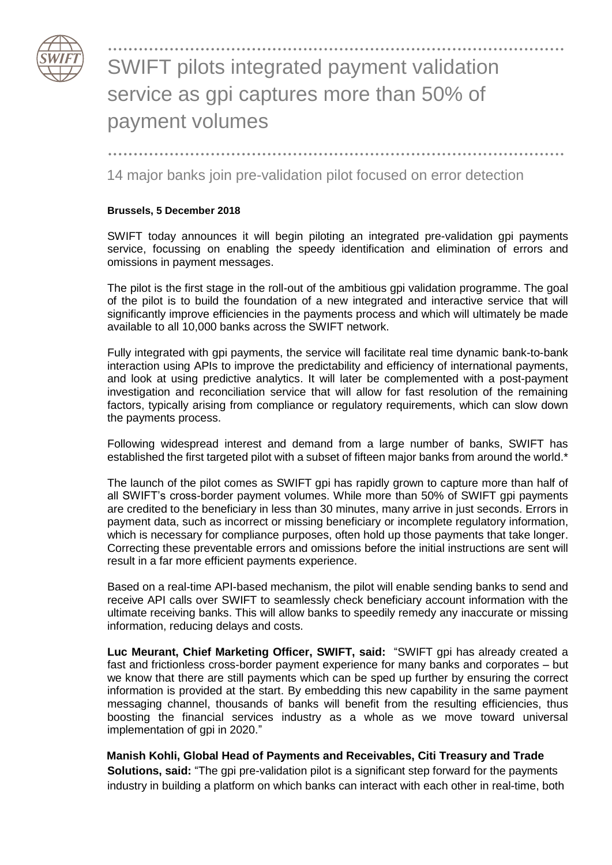

## ......................................................................................... SWIFT pilots integrated payment validation service as gpi captures more than 50% of payment volumes

.........................................................................................

14 major banks join pre-validation pilot focused on error detection

## **Brussels, 5 December 2018**

SWIFT today announces it will begin piloting an integrated pre-validation gpi payments service, focussing on enabling the speedy identification and elimination of errors and omissions in payment messages.

The pilot is the first stage in the roll-out of the ambitious gpi validation programme. The goal of the pilot is to build the foundation of a new integrated and interactive service that will significantly improve efficiencies in the payments process and which will ultimately be made available to all 10,000 banks across the SWIFT network.

Fully integrated with gpi payments, the service will facilitate real time dynamic bank-to-bank interaction using APIs to improve the predictability and efficiency of international payments, and look at using predictive analytics. It will later be complemented with a post-payment investigation and reconciliation service that will allow for fast resolution of the remaining factors, typically arising from compliance or regulatory requirements, which can slow down the payments process.

Following widespread interest and demand from a large number of banks, SWIFT has established the first targeted pilot with a subset of fifteen major banks from around the world.\*

The launch of the pilot comes as SWIFT gpi has rapidly grown to capture more than half of all SWIFT's cross-border payment volumes. While more than 50% of SWIFT gpi payments are credited to the beneficiary in less than 30 minutes, many arrive in just seconds. Errors in payment data, such as incorrect or missing beneficiary or incomplete regulatory information, which is necessary for compliance purposes, often hold up those payments that take longer. Correcting these preventable errors and omissions before the initial instructions are sent will result in a far more efficient payments experience.

Based on a real-time API-based mechanism, the pilot will enable sending banks to send and receive API calls over SWIFT to seamlessly check beneficiary account information with the ultimate receiving banks. This will allow banks to speedily remedy any inaccurate or missing information, reducing delays and costs.

**Luc Meurant, Chief Marketing Officer, SWIFT, said:** "SWIFT gpi has already created a fast and frictionless cross-border payment experience for many banks and corporates – but we know that there are still payments which can be sped up further by ensuring the correct information is provided at the start. By embedding this new capability in the same payment messaging channel, thousands of banks will benefit from the resulting efficiencies, thus boosting the financial services industry as a whole as we move toward universal implementation of gpi in 2020."

**Manish Kohli, Global Head of Payments and Receivables, Citi Treasury and Trade Solutions, said:** "The gpi pre-validation pilot is a significant step forward for the payments industry in building a platform on which banks can interact with each other in real-time, both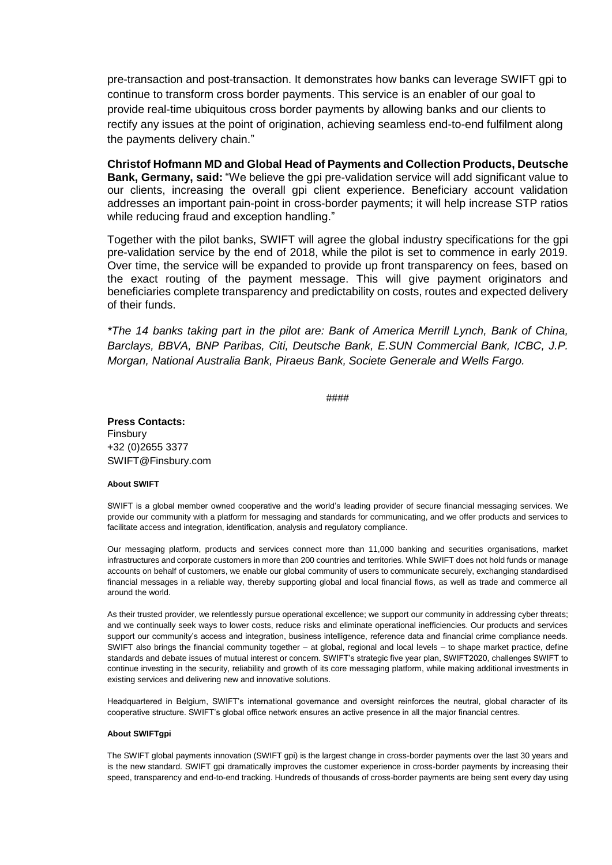pre-transaction and post-transaction. It demonstrates how banks can leverage SWIFT gpi to continue to transform cross border payments. This service is an enabler of our goal to provide real-time ubiquitous cross border payments by allowing banks and our clients to rectify any issues at the point of origination, achieving seamless end-to-end fulfilment along the payments delivery chain."

**Christof Hofmann MD and Global Head of Payments and Collection Products, Deutsche Bank, Germany, said:** "We believe the gpi pre-validation service will add significant value to our clients, increasing the overall gpi client experience. Beneficiary account validation addresses an important pain-point in cross-border payments; it will help increase STP ratios while reducing fraud and exception handling."

Together with the pilot banks, SWIFT will agree the global industry specifications for the gpi pre-validation service by the end of 2018, while the pilot is set to commence in early 2019. Over time, the service will be expanded to provide up front transparency on fees, based on the exact routing of the payment message. This will give payment originators and beneficiaries complete transparency and predictability on costs, routes and expected delivery of their funds.

*\*The 14 banks taking part in the pilot are: Bank of America Merrill Lynch, Bank of China, Barclays, BBVA, BNP Paribas, Citi, Deutsche Bank, E.SUN Commercial Bank, ICBC, J.P. Morgan, National Australia Bank, Piraeus Bank, Societe Generale and Wells Fargo.*

####

**Press Contacts:** Finsbury +32 (0)2655 3377 SWIFT@Finsbury.com

## **About SWIFT**

SWIFT is a global member owned cooperative and the world's leading provider of secure financial messaging services. We provide our community with a platform for messaging and standards for communicating, and we offer products and services to facilitate access and integration, identification, analysis and regulatory compliance.

Our messaging platform, products and services connect more than 11,000 banking and securities organisations, market infrastructures and corporate customers in more than 200 countries and territories. While SWIFT does not hold funds or manage accounts on behalf of customers, we enable our global community of users to communicate securely, exchanging standardised financial messages in a reliable way, thereby supporting global and local financial flows, as well as trade and commerce all around the world.

As their trusted provider, we relentlessly pursue operational excellence; we support our community in addressing cyber threats; and we continually seek ways to lower costs, reduce risks and eliminate operational inefficiencies. Our products and services support our community's access and integration, business intelligence, reference data and financial crime compliance needs. SWIFT also brings the financial community together – at global, regional and local levels – to shape market practice, define standards and debate issues of mutual interest or concern. SWIFT's strategic five year plan, SWIFT2020, challenges SWIFT to continue investing in the security, reliability and growth of its core messaging platform, while making additional investments in existing services and delivering new and innovative solutions.

Headquartered in Belgium, SWIFT's international governance and oversight reinforces the neutral, global character of its cooperative structure. SWIFT's global office network ensures an active presence in all the major financial centres.

## **About SWIFTgpi**

The SWIFT global payments innovation (SWIFT gpi) is the largest change in cross-border payments over the last 30 years and is the new standard. SWIFT gpi dramatically improves the customer experience in cross-border payments by increasing their speed, transparency and end-to-end tracking. Hundreds of thousands of cross-border payments are being sent every day using